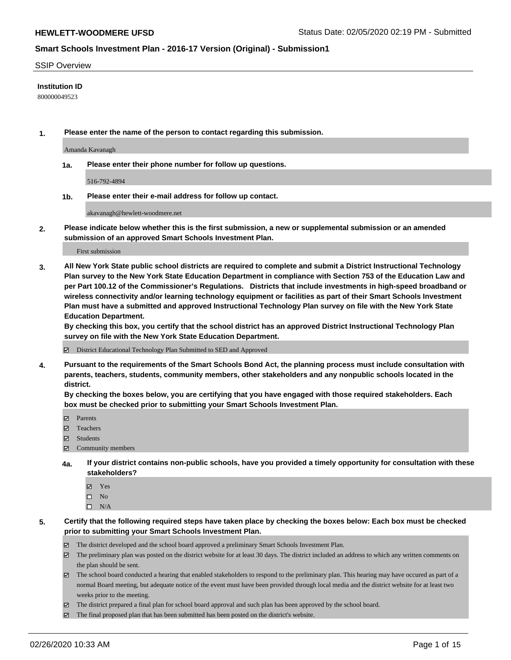#### SSIP Overview

#### **Institution ID**

800000049523

**1. Please enter the name of the person to contact regarding this submission.**

Amanda Kavanagh

**1a. Please enter their phone number for follow up questions.**

516-792-4894

**1b. Please enter their e-mail address for follow up contact.**

akavanagh@hewlett-woodmere.net

**2. Please indicate below whether this is the first submission, a new or supplemental submission or an amended submission of an approved Smart Schools Investment Plan.**

First submission

**3. All New York State public school districts are required to complete and submit a District Instructional Technology Plan survey to the New York State Education Department in compliance with Section 753 of the Education Law and per Part 100.12 of the Commissioner's Regulations. Districts that include investments in high-speed broadband or wireless connectivity and/or learning technology equipment or facilities as part of their Smart Schools Investment Plan must have a submitted and approved Instructional Technology Plan survey on file with the New York State Education Department.** 

**By checking this box, you certify that the school district has an approved District Instructional Technology Plan survey on file with the New York State Education Department.**

District Educational Technology Plan Submitted to SED and Approved

**4. Pursuant to the requirements of the Smart Schools Bond Act, the planning process must include consultation with parents, teachers, students, community members, other stakeholders and any nonpublic schools located in the district.** 

**By checking the boxes below, you are certifying that you have engaged with those required stakeholders. Each box must be checked prior to submitting your Smart Schools Investment Plan.**

- Parents
- Teachers
- Students
- Community members
- **4a. If your district contains non-public schools, have you provided a timely opportunity for consultation with these stakeholders?**
	- Yes
	- $\square$  No
	- $\square$  N/A

**5. Certify that the following required steps have taken place by checking the boxes below: Each box must be checked prior to submitting your Smart Schools Investment Plan.**

- The district developed and the school board approved a preliminary Smart Schools Investment Plan.
- $\boxtimes$  The preliminary plan was posted on the district website for at least 30 days. The district included an address to which any written comments on the plan should be sent.
- $\boxtimes$  The school board conducted a hearing that enabled stakeholders to respond to the preliminary plan. This hearing may have occured as part of a normal Board meeting, but adequate notice of the event must have been provided through local media and the district website for at least two weeks prior to the meeting.
- The district prepared a final plan for school board approval and such plan has been approved by the school board.
- $\boxtimes$  The final proposed plan that has been submitted has been posted on the district's website.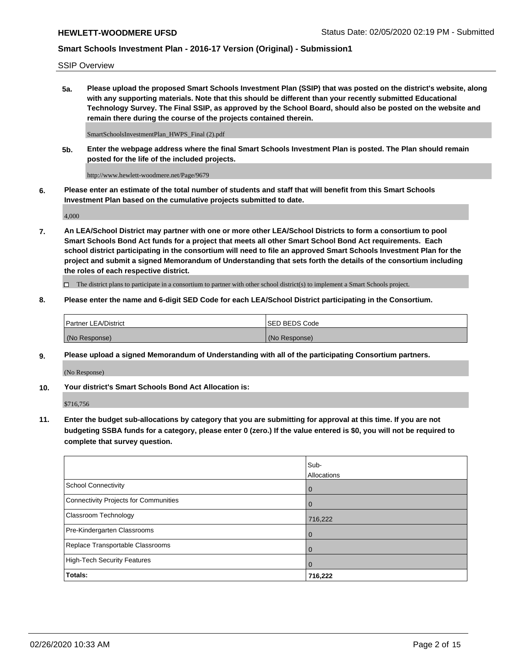SSIP Overview

**5a. Please upload the proposed Smart Schools Investment Plan (SSIP) that was posted on the district's website, along with any supporting materials. Note that this should be different than your recently submitted Educational Technology Survey. The Final SSIP, as approved by the School Board, should also be posted on the website and remain there during the course of the projects contained therein.**

SmartSchoolsInvestmentPlan\_HWPS\_Final (2).pdf

**5b. Enter the webpage address where the final Smart Schools Investment Plan is posted. The Plan should remain posted for the life of the included projects.**

http://www.hewlett-woodmere.net/Page/9679

**6. Please enter an estimate of the total number of students and staff that will benefit from this Smart Schools Investment Plan based on the cumulative projects submitted to date.**

4,000

**7. An LEA/School District may partner with one or more other LEA/School Districts to form a consortium to pool Smart Schools Bond Act funds for a project that meets all other Smart School Bond Act requirements. Each school district participating in the consortium will need to file an approved Smart Schools Investment Plan for the project and submit a signed Memorandum of Understanding that sets forth the details of the consortium including the roles of each respective district.**

 $\Box$  The district plans to participate in a consortium to partner with other school district(s) to implement a Smart Schools project.

### **8. Please enter the name and 6-digit SED Code for each LEA/School District participating in the Consortium.**

| Partner LEA/District | <b>ISED BEDS Code</b> |
|----------------------|-----------------------|
| (No Response)        | (No Response)         |

#### **9. Please upload a signed Memorandum of Understanding with all of the participating Consortium partners.**

(No Response)

**10. Your district's Smart Schools Bond Act Allocation is:**

\$716,756

**11. Enter the budget sub-allocations by category that you are submitting for approval at this time. If you are not budgeting SSBA funds for a category, please enter 0 (zero.) If the value entered is \$0, you will not be required to complete that survey question.**

|                                       | Sub-<br>Allocations |
|---------------------------------------|---------------------|
| <b>School Connectivity</b>            | $\mathbf 0$         |
| Connectivity Projects for Communities | $\Omega$            |
| <b>Classroom Technology</b>           | 716,222             |
| Pre-Kindergarten Classrooms           | 0                   |
| Replace Transportable Classrooms      | 0                   |
| High-Tech Security Features           | $\Omega$            |
| Totals:                               | 716,222             |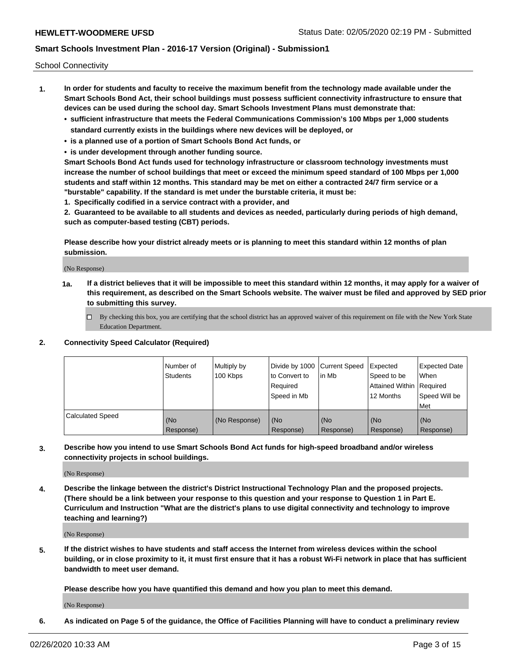School Connectivity

- **1. In order for students and faculty to receive the maximum benefit from the technology made available under the Smart Schools Bond Act, their school buildings must possess sufficient connectivity infrastructure to ensure that devices can be used during the school day. Smart Schools Investment Plans must demonstrate that:**
	- **• sufficient infrastructure that meets the Federal Communications Commission's 100 Mbps per 1,000 students standard currently exists in the buildings where new devices will be deployed, or**
	- **• is a planned use of a portion of Smart Schools Bond Act funds, or**
	- **• is under development through another funding source.**

**Smart Schools Bond Act funds used for technology infrastructure or classroom technology investments must increase the number of school buildings that meet or exceed the minimum speed standard of 100 Mbps per 1,000 students and staff within 12 months. This standard may be met on either a contracted 24/7 firm service or a "burstable" capability. If the standard is met under the burstable criteria, it must be:**

**1. Specifically codified in a service contract with a provider, and**

**2. Guaranteed to be available to all students and devices as needed, particularly during periods of high demand, such as computer-based testing (CBT) periods.**

**Please describe how your district already meets or is planning to meet this standard within 12 months of plan submission.**

(No Response)

**1a. If a district believes that it will be impossible to meet this standard within 12 months, it may apply for a waiver of this requirement, as described on the Smart Schools website. The waiver must be filed and approved by SED prior to submitting this survey.**

 $\Box$  By checking this box, you are certifying that the school district has an approved waiver of this requirement on file with the New York State Education Department.

#### **2. Connectivity Speed Calculator (Required)**

|                         | l Number of<br><b>Students</b> | Multiply by<br>100 Kbps | Divide by 1000 Current Speed<br>to Convert to<br>Required<br>l Speed in Mb | lin Mb           | Expected<br>Speed to be<br>Attained Within   Required<br>12 Months | <b>Expected Date</b><br>When<br>Speed Will be<br>Met |
|-------------------------|--------------------------------|-------------------------|----------------------------------------------------------------------------|------------------|--------------------------------------------------------------------|------------------------------------------------------|
| <b>Calculated Speed</b> | (No<br>Response)               | (No Response)           | (No<br>Response)                                                           | (No<br>Response) | (No<br>Response)                                                   | (No<br>Response)                                     |

**3. Describe how you intend to use Smart Schools Bond Act funds for high-speed broadband and/or wireless connectivity projects in school buildings.**

(No Response)

**4. Describe the linkage between the district's District Instructional Technology Plan and the proposed projects. (There should be a link between your response to this question and your response to Question 1 in Part E. Curriculum and Instruction "What are the district's plans to use digital connectivity and technology to improve teaching and learning?)**

(No Response)

**5. If the district wishes to have students and staff access the Internet from wireless devices within the school building, or in close proximity to it, it must first ensure that it has a robust Wi-Fi network in place that has sufficient bandwidth to meet user demand.**

**Please describe how you have quantified this demand and how you plan to meet this demand.**

(No Response)

**6. As indicated on Page 5 of the guidance, the Office of Facilities Planning will have to conduct a preliminary review**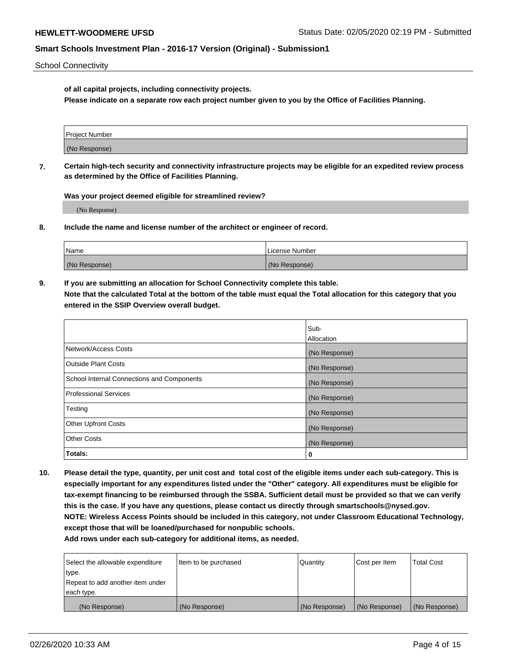School Connectivity

**of all capital projects, including connectivity projects.**

**Please indicate on a separate row each project number given to you by the Office of Facilities Planning.**

| Project Number |  |
|----------------|--|
|                |  |
|                |  |
|                |  |
| (No Response)  |  |
|                |  |
|                |  |
|                |  |

**7. Certain high-tech security and connectivity infrastructure projects may be eligible for an expedited review process as determined by the Office of Facilities Planning.**

**Was your project deemed eligible for streamlined review?**

(No Response)

**8. Include the name and license number of the architect or engineer of record.**

| Name          | License Number |
|---------------|----------------|
| (No Response) | (No Response)  |

**9. If you are submitting an allocation for School Connectivity complete this table. Note that the calculated Total at the bottom of the table must equal the Total allocation for this category that you entered in the SSIP Overview overall budget.** 

|                                            | Sub-          |
|--------------------------------------------|---------------|
|                                            | Allocation    |
| Network/Access Costs                       | (No Response) |
| Outside Plant Costs                        | (No Response) |
| School Internal Connections and Components | (No Response) |
| <b>Professional Services</b>               | (No Response) |
| Testing                                    | (No Response) |
| <b>Other Upfront Costs</b>                 | (No Response) |
| <b>Other Costs</b>                         | (No Response) |
| Totals:                                    | 0             |

**10. Please detail the type, quantity, per unit cost and total cost of the eligible items under each sub-category. This is especially important for any expenditures listed under the "Other" category. All expenditures must be eligible for tax-exempt financing to be reimbursed through the SSBA. Sufficient detail must be provided so that we can verify this is the case. If you have any questions, please contact us directly through smartschools@nysed.gov. NOTE: Wireless Access Points should be included in this category, not under Classroom Educational Technology, except those that will be loaned/purchased for nonpublic schools.**

| Select the allowable expenditure | Item to be purchased | Quantity      | Cost per Item | <b>Total Cost</b> |
|----------------------------------|----------------------|---------------|---------------|-------------------|
| type.                            |                      |               |               |                   |
| Repeat to add another item under |                      |               |               |                   |
| each type.                       |                      |               |               |                   |
| (No Response)                    | (No Response)        | (No Response) | (No Response) | (No Response)     |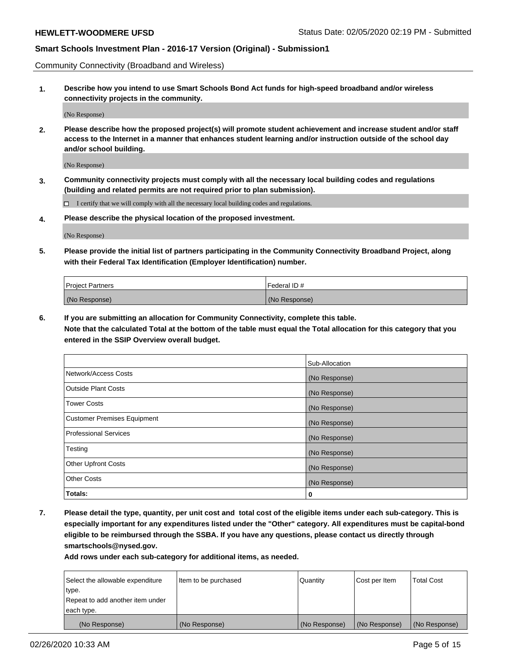Community Connectivity (Broadband and Wireless)

**1. Describe how you intend to use Smart Schools Bond Act funds for high-speed broadband and/or wireless connectivity projects in the community.**

(No Response)

**2. Please describe how the proposed project(s) will promote student achievement and increase student and/or staff access to the Internet in a manner that enhances student learning and/or instruction outside of the school day and/or school building.**

(No Response)

**3. Community connectivity projects must comply with all the necessary local building codes and regulations (building and related permits are not required prior to plan submission).**

 $\Box$  I certify that we will comply with all the necessary local building codes and regulations.

**4. Please describe the physical location of the proposed investment.**

(No Response)

**5. Please provide the initial list of partners participating in the Community Connectivity Broadband Project, along with their Federal Tax Identification (Employer Identification) number.**

| <b>Project Partners</b> | Federal ID#   |
|-------------------------|---------------|
| (No Response)           | (No Response) |

**6. If you are submitting an allocation for Community Connectivity, complete this table.**

**Note that the calculated Total at the bottom of the table must equal the Total allocation for this category that you entered in the SSIP Overview overall budget.**

|                                    | Sub-Allocation |
|------------------------------------|----------------|
| Network/Access Costs               | (No Response)  |
| <b>Outside Plant Costs</b>         | (No Response)  |
| <b>Tower Costs</b>                 | (No Response)  |
| <b>Customer Premises Equipment</b> | (No Response)  |
| <b>Professional Services</b>       | (No Response)  |
| Testing                            | (No Response)  |
| <b>Other Upfront Costs</b>         | (No Response)  |
| <b>Other Costs</b>                 | (No Response)  |
| Totals:                            | 0              |

**7. Please detail the type, quantity, per unit cost and total cost of the eligible items under each sub-category. This is especially important for any expenditures listed under the "Other" category. All expenditures must be capital-bond eligible to be reimbursed through the SSBA. If you have any questions, please contact us directly through smartschools@nysed.gov.**

| Select the allowable expenditure | Item to be purchased | Quantity      | Cost per Item | <b>Total Cost</b> |
|----------------------------------|----------------------|---------------|---------------|-------------------|
| type.                            |                      |               |               |                   |
| Repeat to add another item under |                      |               |               |                   |
| each type.                       |                      |               |               |                   |
| (No Response)                    | (No Response)        | (No Response) | (No Response) | (No Response)     |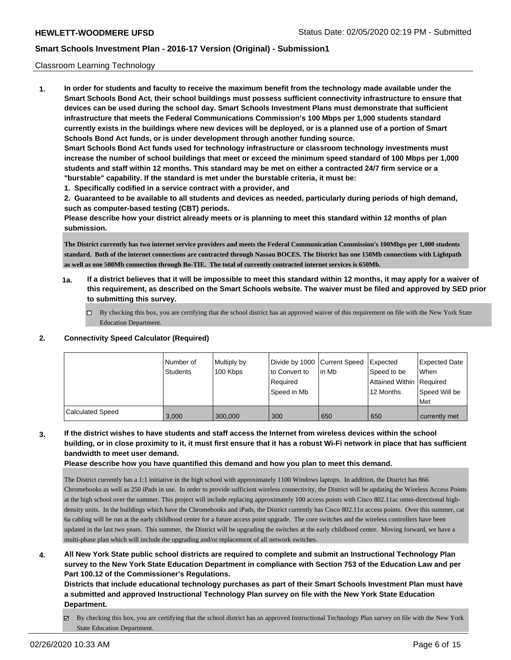#### Classroom Learning Technology

**1. In order for students and faculty to receive the maximum benefit from the technology made available under the Smart Schools Bond Act, their school buildings must possess sufficient connectivity infrastructure to ensure that devices can be used during the school day. Smart Schools Investment Plans must demonstrate that sufficient infrastructure that meets the Federal Communications Commission's 100 Mbps per 1,000 students standard currently exists in the buildings where new devices will be deployed, or is a planned use of a portion of Smart Schools Bond Act funds, or is under development through another funding source. Smart Schools Bond Act funds used for technology infrastructure or classroom technology investments must increase the number of school buildings that meet or exceed the minimum speed standard of 100 Mbps per 1,000 students and staff within 12 months. This standard may be met on either a contracted 24/7 firm service or a**

**"burstable" capability. If the standard is met under the burstable criteria, it must be:**

**1. Specifically codified in a service contract with a provider, and**

**2. Guaranteed to be available to all students and devices as needed, particularly during periods of high demand, such as computer-based testing (CBT) periods.**

**Please describe how your district already meets or is planning to meet this standard within 12 months of plan submission.**

**The District currently has two internet service providers and meets the Federal Communication Commission's 100Mbps per 1,000 students standard. Both of the internet connections are contracted through Nassau BOCES. The District has one 150Mb connections with Lightpath as well as one 500Mb connection through Bo-TIE. The total of currently contracted internet services is 650Mb.** 

- **1a. If a district believes that it will be impossible to meet this standard within 12 months, it may apply for a waiver of this requirement, as described on the Smart Schools website. The waiver must be filed and approved by SED prior to submitting this survey.**
	- $\Box$  By checking this box, you are certifying that the school district has an approved waiver of this requirement on file with the New York State Education Department.

### **2. Connectivity Speed Calculator (Required)**

|                         | Number of<br><b>Students</b> | Multiply by<br>100 Kbps | Divide by 1000 Current Speed<br>to Convert to<br>Reauired<br>Speed in Mb | l in Mb | <b>Expected</b><br>Speed to be<br>Attained Within Required<br>12 Months | <b>Expected Date</b><br><b>When</b><br>Speed Will be<br>Met |
|-------------------------|------------------------------|-------------------------|--------------------------------------------------------------------------|---------|-------------------------------------------------------------------------|-------------------------------------------------------------|
| <b>Calculated Speed</b> | 3.000                        | 300.000                 | 300                                                                      | 650     | 650                                                                     | currently met                                               |

**3. If the district wishes to have students and staff access the Internet from wireless devices within the school building, or in close proximity to it, it must first ensure that it has a robust Wi-Fi network in place that has sufficient bandwidth to meet user demand.**

**Please describe how you have quantified this demand and how you plan to meet this demand.**

The District currently has a 1:1 initiative in the high school with approximately 1100 Windows laptops. In addition, the District has 866 Chromebooks as well as 250 iPads in use. In order to provide sufficient wireless connectivity, the District will be updating the Wireless Access Points at the high school over the summer. This project will include replacing approximately 100 access points with Cisco 802.11ac omni-directional highdensity units. In the buildings which have the Chromebooks and iPads, the District currently has Cisco 802.11n access points. Over this summer, cat 6a cabling will be run at the early childhood center for a future access point upgrade. The core switches and the wireless controllers have been updated in the last two years. This summer, the District will be upgrading the switches at the early childhood center. Moving forward, we have a multi-phase plan which will include the upgrading and/or replacement of all network switches.

**4. All New York State public school districts are required to complete and submit an Instructional Technology Plan survey to the New York State Education Department in compliance with Section 753 of the Education Law and per Part 100.12 of the Commissioner's Regulations.**

**Districts that include educational technology purchases as part of their Smart Schools Investment Plan must have a submitted and approved Instructional Technology Plan survey on file with the New York State Education Department.**

By checking this box, you are certifying that the school district has an approved Instructional Technology Plan survey on file with the New York State Education Department.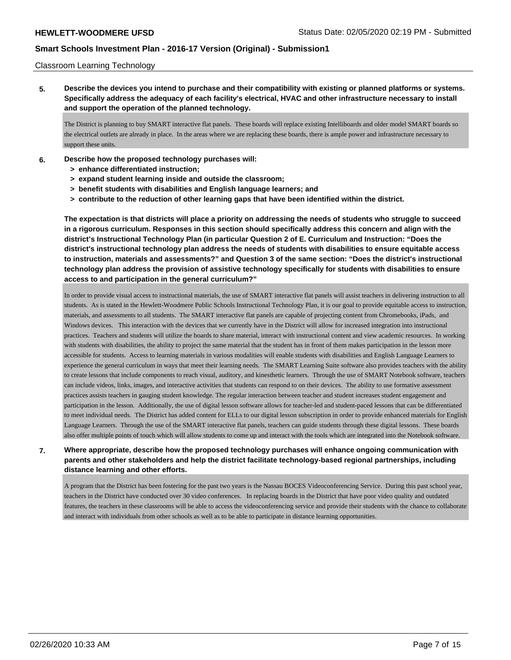Classroom Learning Technology

**5. Describe the devices you intend to purchase and their compatibility with existing or planned platforms or systems. Specifically address the adequacy of each facility's electrical, HVAC and other infrastructure necessary to install and support the operation of the planned technology.**

The District is planning to buy SMART interactive flat panels. These boards will replace existing Intelliboards and older model SMART boards so the electrical outlets are already in place. In the areas where we are replacing these boards, there is ample power and infrastructure necessary to support these units.

- **6. Describe how the proposed technology purchases will:**
	- **> enhance differentiated instruction;**
	- **> expand student learning inside and outside the classroom;**
	- **> benefit students with disabilities and English language learners; and**
	- **> contribute to the reduction of other learning gaps that have been identified within the district.**

**The expectation is that districts will place a priority on addressing the needs of students who struggle to succeed in a rigorous curriculum. Responses in this section should specifically address this concern and align with the district's Instructional Technology Plan (in particular Question 2 of E. Curriculum and Instruction: "Does the district's instructional technology plan address the needs of students with disabilities to ensure equitable access to instruction, materials and assessments?" and Question 3 of the same section: "Does the district's instructional technology plan address the provision of assistive technology specifically for students with disabilities to ensure access to and participation in the general curriculum?"**

In order to provide visual access to instructional materials, the use of SMART interactive flat panels will assist teachers in delivering instruction to all students. As is stated in the Hewlett-Woodmere Public Schools Instructional Technology Plan, it is our goal to provide equitable access to instruction, materials, and assessments to all students. The SMART interactive flat panels are capable of projecting content from Chromebooks, iPads, and Windows devices. This interaction with the devices that we currently have in the District will allow for increased integration into instructional practices. Teachers and students will utilize the boards to share material, interact with instructional content and view academic resources. In working with students with disabilities, the ability to project the same material that the student has in front of them makes participation in the lesson more accessible for students. Access to learning materials in various modalities will enable students with disabilities and English Language Learners to experience the general curriculum in ways that meet their learning needs. The SMART Learning Suite software also provides teachers with the ability to create lessons that include components to reach visual, auditory, and kinesthetic learners. Through the use of SMART Notebook software, teachers can include videos, links, images, and interactive activities that students can respond to on their devices. The ability to use formative assessment practices assists teachers in gauging student knowledge. The regular interaction between teacher and student increases student engagement and participation in the lesson. Additionally, the use of digital lesson software allows for teacher-led and student-paced lessons that can be differentiated to meet individual needs. The District has added content for ELLs to our digital lesson subscription in order to provide enhanced materials for English Language Learners. Through the use of the SMART interactive flat panels, teachers can guide students through these digital lessons. These boards also offer multiple points of touch which will allow students to come up and interact with the tools which are integrated into the Notebook software.

### **7. Where appropriate, describe how the proposed technology purchases will enhance ongoing communication with parents and other stakeholders and help the district facilitate technology-based regional partnerships, including distance learning and other efforts.**

A program that the District has been fostering for the past two years is the Nassau BOCES Videoconferencing Service. During this past school year, teachers in the District have conducted over 30 video conferences. In replacing boards in the District that have poor video quality and outdated features, the teachers in these classrooms will be able to access the videoconferencing service and provide their students with the chance to collaborate and interact with individuals from other schools as well as to be able to participate in distance learning opportunities.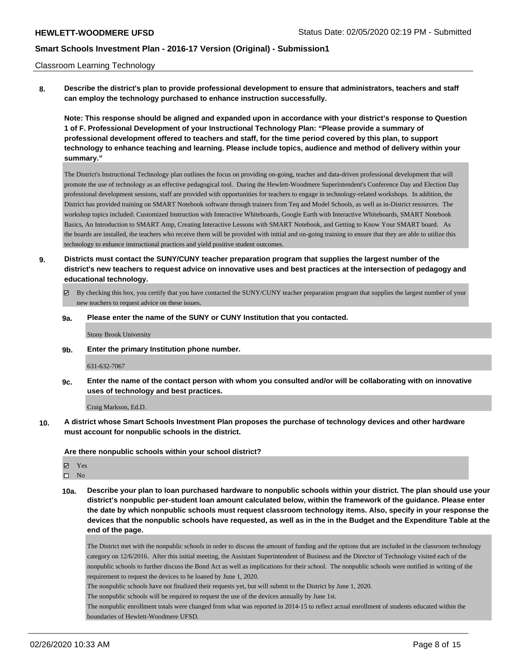#### Classroom Learning Technology

**8. Describe the district's plan to provide professional development to ensure that administrators, teachers and staff can employ the technology purchased to enhance instruction successfully.**

**Note: This response should be aligned and expanded upon in accordance with your district's response to Question 1 of F. Professional Development of your Instructional Technology Plan: "Please provide a summary of professional development offered to teachers and staff, for the time period covered by this plan, to support technology to enhance teaching and learning. Please include topics, audience and method of delivery within your summary."**

The District's Instructional Technology plan outlines the focus on providing on-going, teacher and data-driven professional development that will promote the use of technology as an effective pedagogical tool. During the Hewlett-Woodmere Superintendent's Conference Day and Election Day professional development sessions, staff are provided with opportunities for teachers to engage in technology-related workshops. In addition, the District has provided training on SMART Notebook software through trainers from Teq and Model Schools, as well as in-District resources. The workshop topics included: Customized Instruction with Interactive Whiteboards, Google Earth with Interactive Whiteboards, SMART Notebook Basics, An Introduction to SMART Amp, Creating Interactive Lessons with SMART Notebook, and Getting to Know Your SMART board. As the boards are installed, the teachers who receive them will be provided with initial and on-going training to ensure that they are able to utilize this technology to enhance instructional practices and yield positive student outcomes.

- **9. Districts must contact the SUNY/CUNY teacher preparation program that supplies the largest number of the district's new teachers to request advice on innovative uses and best practices at the intersection of pedagogy and educational technology.**
	- By checking this box, you certify that you have contacted the SUNY/CUNY teacher preparation program that supplies the largest number of your new teachers to request advice on these issues.
	- **9a. Please enter the name of the SUNY or CUNY Institution that you contacted.**

Stony Brook University

**9b. Enter the primary Institution phone number.**

631-632-7067

**9c. Enter the name of the contact person with whom you consulted and/or will be collaborating with on innovative uses of technology and best practices.**

Craig Markson, Ed.D.

**10. A district whose Smart Schools Investment Plan proposes the purchase of technology devices and other hardware must account for nonpublic schools in the district.**

**Are there nonpublic schools within your school district?**

Yes

 $\square$  No

**10a. Describe your plan to loan purchased hardware to nonpublic schools within your district. The plan should use your district's nonpublic per-student loan amount calculated below, within the framework of the guidance. Please enter the date by which nonpublic schools must request classroom technology items. Also, specify in your response the devices that the nonpublic schools have requested, as well as in the in the Budget and the Expenditure Table at the end of the page.**

The District met with the nonpublic schools in order to discuss the amount of funding and the options that are included in the classroom technology category on 12/6/2016. After this initial meeting, the Assistant Superintendent of Business and the Director of Technology visited each of the nonpublic schools to further discuss the Bond Act as well as implications for their school. The nonpublic schools were notified in writing of the requirement to request the devices to be loaned by June 1, 2020.

The nonpublic schools have not finalized their requests yet, but will submit to the District by June 1, 2020.

The nonpublic schools will be required to request the use of the devices annually by June 1st.

The nonpublic enrollment totals were changed from what was reported in 2014-15 to reflect actual enrollment of students educated within the boundaries of Hewlett-Woodmere UFSD.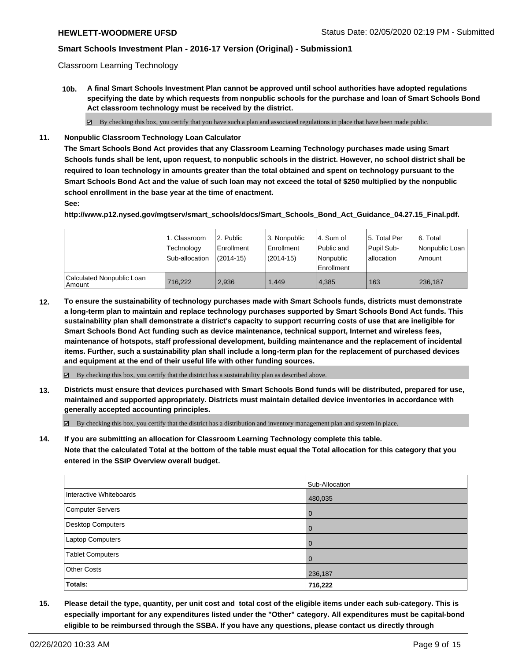Classroom Learning Technology

**10b. A final Smart Schools Investment Plan cannot be approved until school authorities have adopted regulations specifying the date by which requests from nonpublic schools for the purchase and loan of Smart Schools Bond Act classroom technology must be received by the district.**

By checking this box, you certify that you have such a plan and associated regulations in place that have been made public.

**11. Nonpublic Classroom Technology Loan Calculator**

**The Smart Schools Bond Act provides that any Classroom Learning Technology purchases made using Smart Schools funds shall be lent, upon request, to nonpublic schools in the district. However, no school district shall be required to loan technology in amounts greater than the total obtained and spent on technology pursuant to the Smart Schools Bond Act and the value of such loan may not exceed the total of \$250 multiplied by the nonpublic school enrollment in the base year at the time of enactment.**

### **See:**

**http://www.p12.nysed.gov/mgtserv/smart\_schools/docs/Smart\_Schools\_Bond\_Act\_Guidance\_04.27.15\_Final.pdf.**

|                                       | 1. Classroom<br>Technology<br>Sub-allocation | l 2. Public<br>l Enrollment<br>$(2014 - 15)$ | l 3. Nonpublic<br>Enrollment<br>$(2014-15)$ | l 4. Sum of<br>Public and<br>l Nonpublic<br>Enrollment | l 5. Total Per<br>Pupil Sub-<br>allocation | l 6. Total<br>Nonpublic Loan<br>Amount |
|---------------------------------------|----------------------------------------------|----------------------------------------------|---------------------------------------------|--------------------------------------------------------|--------------------------------------------|----------------------------------------|
| Calculated Nonpublic Loan<br>l Amount | 716.222                                      | 2.936                                        | 1.449                                       | 4.385                                                  | 163                                        | 236,187                                |

**12. To ensure the sustainability of technology purchases made with Smart Schools funds, districts must demonstrate a long-term plan to maintain and replace technology purchases supported by Smart Schools Bond Act funds. This sustainability plan shall demonstrate a district's capacity to support recurring costs of use that are ineligible for Smart Schools Bond Act funding such as device maintenance, technical support, Internet and wireless fees, maintenance of hotspots, staff professional development, building maintenance and the replacement of incidental items. Further, such a sustainability plan shall include a long-term plan for the replacement of purchased devices and equipment at the end of their useful life with other funding sources.**

 $\boxtimes$  By checking this box, you certify that the district has a sustainability plan as described above.

**13. Districts must ensure that devices purchased with Smart Schools Bond funds will be distributed, prepared for use, maintained and supported appropriately. Districts must maintain detailed device inventories in accordance with generally accepted accounting principles.**

By checking this box, you certify that the district has a distribution and inventory management plan and system in place.

**14. If you are submitting an allocation for Classroom Learning Technology complete this table. Note that the calculated Total at the bottom of the table must equal the Total allocation for this category that you entered in the SSIP Overview overall budget.**

|                         | Sub-Allocation |
|-------------------------|----------------|
| Interactive Whiteboards | 480,035        |
| Computer Servers        | l 0            |
| Desktop Computers       | l O            |
| <b>Laptop Computers</b> | l O            |
| <b>Tablet Computers</b> | l O            |
| <b>Other Costs</b>      | 236,187        |
| <b>Totals:</b>          | 716,222        |

**15. Please detail the type, quantity, per unit cost and total cost of the eligible items under each sub-category. This is especially important for any expenditures listed under the "Other" category. All expenditures must be capital-bond eligible to be reimbursed through the SSBA. If you have any questions, please contact us directly through**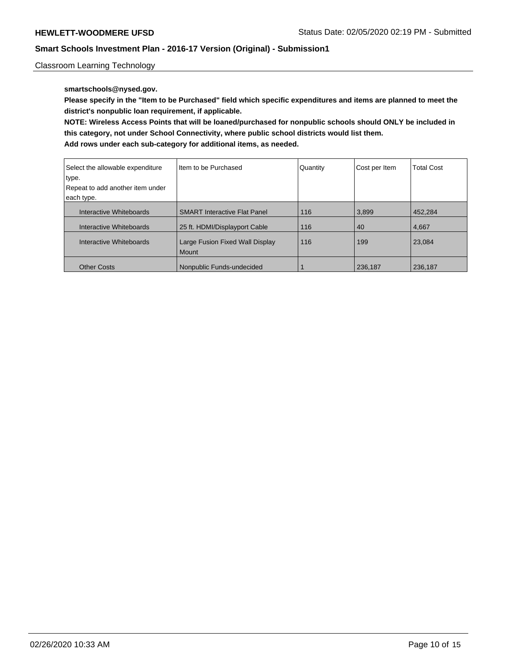Classroom Learning Technology

### **smartschools@nysed.gov.**

**Please specify in the "Item to be Purchased" field which specific expenditures and items are planned to meet the district's nonpublic loan requirement, if applicable.**

**NOTE: Wireless Access Points that will be loaned/purchased for nonpublic schools should ONLY be included in this category, not under School Connectivity, where public school districts would list them.**

| Select the allowable expenditure<br>type.<br>Repeat to add another item under<br>each type. | I Item to be Purchased                          | Quantity | Cost per Item | <b>Total Cost</b> |
|---------------------------------------------------------------------------------------------|-------------------------------------------------|----------|---------------|-------------------|
| Interactive Whiteboards                                                                     | <b>SMART Interactive Flat Panel</b>             | 116      | 3.899         | 452.284           |
| Interactive Whiteboards                                                                     | 25 ft. HDMI/Displayport Cable                   | 116      | 40            | 4,667             |
| Interactive Whiteboards                                                                     | Large Fusion Fixed Wall Display<br><b>Mount</b> | 116      | 199           | 23,084            |
| <b>Other Costs</b>                                                                          | Nonpublic Funds-undecided                       |          | 236,187       | 236.187           |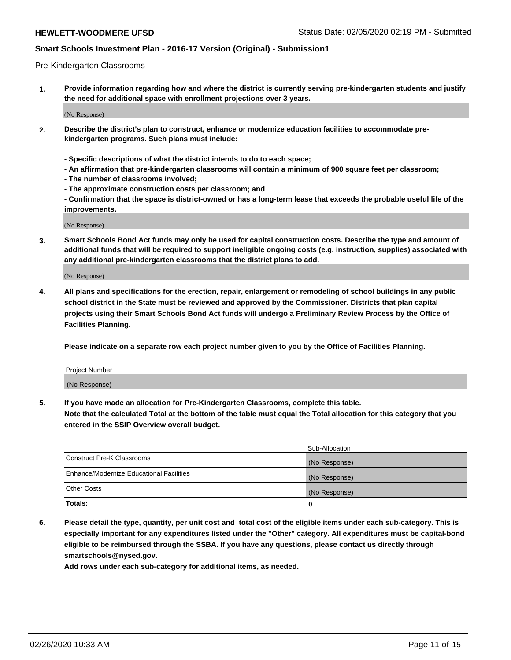#### Pre-Kindergarten Classrooms

**1. Provide information regarding how and where the district is currently serving pre-kindergarten students and justify the need for additional space with enrollment projections over 3 years.**

(No Response)

- **2. Describe the district's plan to construct, enhance or modernize education facilities to accommodate prekindergarten programs. Such plans must include:**
	- **Specific descriptions of what the district intends to do to each space;**
	- **An affirmation that pre-kindergarten classrooms will contain a minimum of 900 square feet per classroom;**
	- **The number of classrooms involved;**
	- **The approximate construction costs per classroom; and**
	- **Confirmation that the space is district-owned or has a long-term lease that exceeds the probable useful life of the improvements.**

(No Response)

**3. Smart Schools Bond Act funds may only be used for capital construction costs. Describe the type and amount of additional funds that will be required to support ineligible ongoing costs (e.g. instruction, supplies) associated with any additional pre-kindergarten classrooms that the district plans to add.**

(No Response)

**4. All plans and specifications for the erection, repair, enlargement or remodeling of school buildings in any public school district in the State must be reviewed and approved by the Commissioner. Districts that plan capital projects using their Smart Schools Bond Act funds will undergo a Preliminary Review Process by the Office of Facilities Planning.**

**Please indicate on a separate row each project number given to you by the Office of Facilities Planning.**

| Project Number |  |
|----------------|--|
| (No Response)  |  |
|                |  |

**5. If you have made an allocation for Pre-Kindergarten Classrooms, complete this table.**

**Note that the calculated Total at the bottom of the table must equal the Total allocation for this category that you entered in the SSIP Overview overall budget.**

|                                          | Sub-Allocation |
|------------------------------------------|----------------|
| Construct Pre-K Classrooms               | (No Response)  |
| Enhance/Modernize Educational Facilities | (No Response)  |
| <b>Other Costs</b>                       | (No Response)  |
| Totals:                                  | 0              |

**6. Please detail the type, quantity, per unit cost and total cost of the eligible items under each sub-category. This is especially important for any expenditures listed under the "Other" category. All expenditures must be capital-bond eligible to be reimbursed through the SSBA. If you have any questions, please contact us directly through smartschools@nysed.gov.**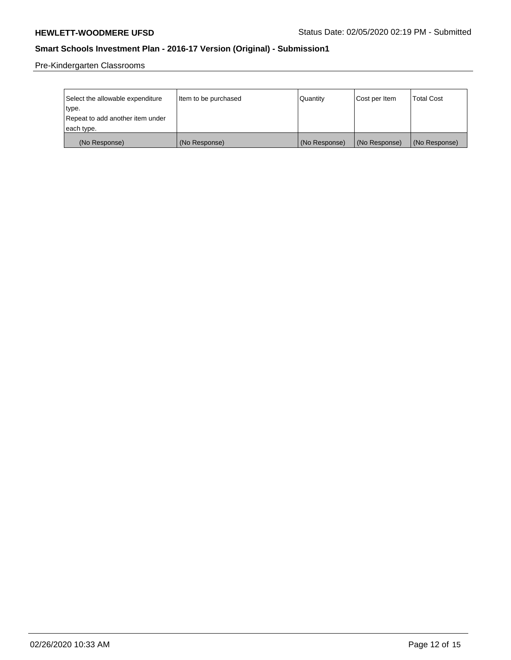Pre-Kindergarten Classrooms

| Select the allowable expenditure<br>type. | Item to be purchased | Quantity      | Cost per Item | <b>Total Cost</b> |
|-------------------------------------------|----------------------|---------------|---------------|-------------------|
| Repeat to add another item under          |                      |               |               |                   |
| each type.                                |                      |               |               |                   |
| (No Response)                             | (No Response)        | (No Response) | (No Response) | (No Response)     |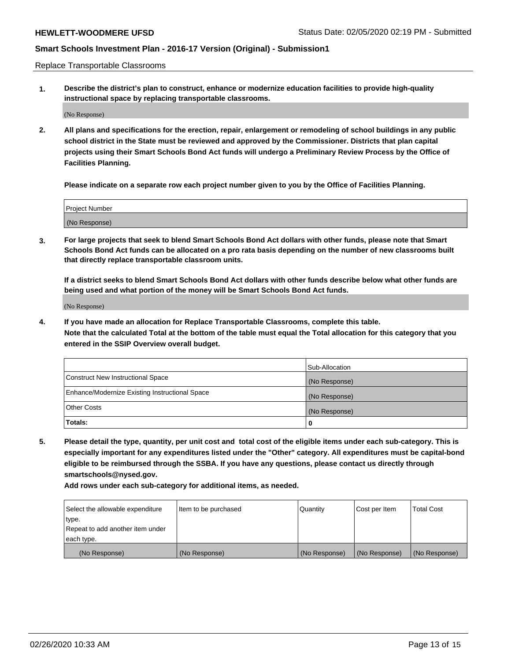Replace Transportable Classrooms

**1. Describe the district's plan to construct, enhance or modernize education facilities to provide high-quality instructional space by replacing transportable classrooms.**

(No Response)

**2. All plans and specifications for the erection, repair, enlargement or remodeling of school buildings in any public school district in the State must be reviewed and approved by the Commissioner. Districts that plan capital projects using their Smart Schools Bond Act funds will undergo a Preliminary Review Process by the Office of Facilities Planning.**

**Please indicate on a separate row each project number given to you by the Office of Facilities Planning.**

| Project Number |  |
|----------------|--|
|                |  |
| (No Response)  |  |

**3. For large projects that seek to blend Smart Schools Bond Act dollars with other funds, please note that Smart Schools Bond Act funds can be allocated on a pro rata basis depending on the number of new classrooms built that directly replace transportable classroom units.**

**If a district seeks to blend Smart Schools Bond Act dollars with other funds describe below what other funds are being used and what portion of the money will be Smart Schools Bond Act funds.**

(No Response)

**4. If you have made an allocation for Replace Transportable Classrooms, complete this table. Note that the calculated Total at the bottom of the table must equal the Total allocation for this category that you entered in the SSIP Overview overall budget.**

|                                                | Sub-Allocation |
|------------------------------------------------|----------------|
| Construct New Instructional Space              | (No Response)  |
| Enhance/Modernize Existing Instructional Space | (No Response)  |
| <b>Other Costs</b>                             | (No Response)  |
| Totals:                                        | 0              |

**5. Please detail the type, quantity, per unit cost and total cost of the eligible items under each sub-category. This is especially important for any expenditures listed under the "Other" category. All expenditures must be capital-bond eligible to be reimbursed through the SSBA. If you have any questions, please contact us directly through smartschools@nysed.gov.**

| Select the allowable expenditure | Item to be purchased | Quantity      | Cost per Item | Total Cost    |
|----------------------------------|----------------------|---------------|---------------|---------------|
| type.                            |                      |               |               |               |
| Repeat to add another item under |                      |               |               |               |
| each type.                       |                      |               |               |               |
| (No Response)                    | (No Response)        | (No Response) | (No Response) | (No Response) |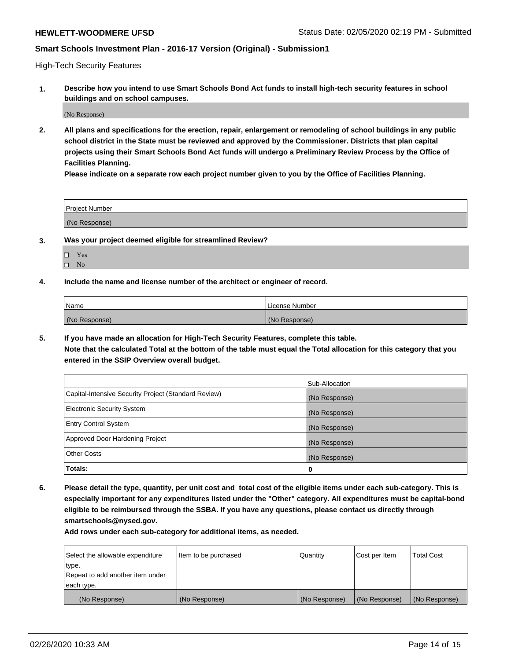High-Tech Security Features

**1. Describe how you intend to use Smart Schools Bond Act funds to install high-tech security features in school buildings and on school campuses.**

(No Response)

**2. All plans and specifications for the erection, repair, enlargement or remodeling of school buildings in any public school district in the State must be reviewed and approved by the Commissioner. Districts that plan capital projects using their Smart Schools Bond Act funds will undergo a Preliminary Review Process by the Office of Facilities Planning.** 

**Please indicate on a separate row each project number given to you by the Office of Facilities Planning.**

| <b>Project Number</b> |  |
|-----------------------|--|
| (No Response)         |  |

- **3. Was your project deemed eligible for streamlined Review?**
	- Yes
	- $\square$  No
- **4. Include the name and license number of the architect or engineer of record.**

| <b>Name</b>   | License Number |
|---------------|----------------|
| (No Response) | (No Response)  |

**5. If you have made an allocation for High-Tech Security Features, complete this table.**

**Note that the calculated Total at the bottom of the table must equal the Total allocation for this category that you entered in the SSIP Overview overall budget.**

|                                                      | Sub-Allocation |
|------------------------------------------------------|----------------|
| Capital-Intensive Security Project (Standard Review) | (No Response)  |
| <b>Electronic Security System</b>                    | (No Response)  |
| <b>Entry Control System</b>                          | (No Response)  |
| Approved Door Hardening Project                      | (No Response)  |
| <b>Other Costs</b>                                   | (No Response)  |
| Totals:                                              | 0              |

**6. Please detail the type, quantity, per unit cost and total cost of the eligible items under each sub-category. This is especially important for any expenditures listed under the "Other" category. All expenditures must be capital-bond eligible to be reimbursed through the SSBA. If you have any questions, please contact us directly through smartschools@nysed.gov.**

| Select the allowable expenditure | Item to be purchased | Quantity      | Cost per Item | <b>Total Cost</b> |
|----------------------------------|----------------------|---------------|---------------|-------------------|
| type.                            |                      |               |               |                   |
| Repeat to add another item under |                      |               |               |                   |
| each type.                       |                      |               |               |                   |
| (No Response)                    | (No Response)        | (No Response) | (No Response) | (No Response)     |